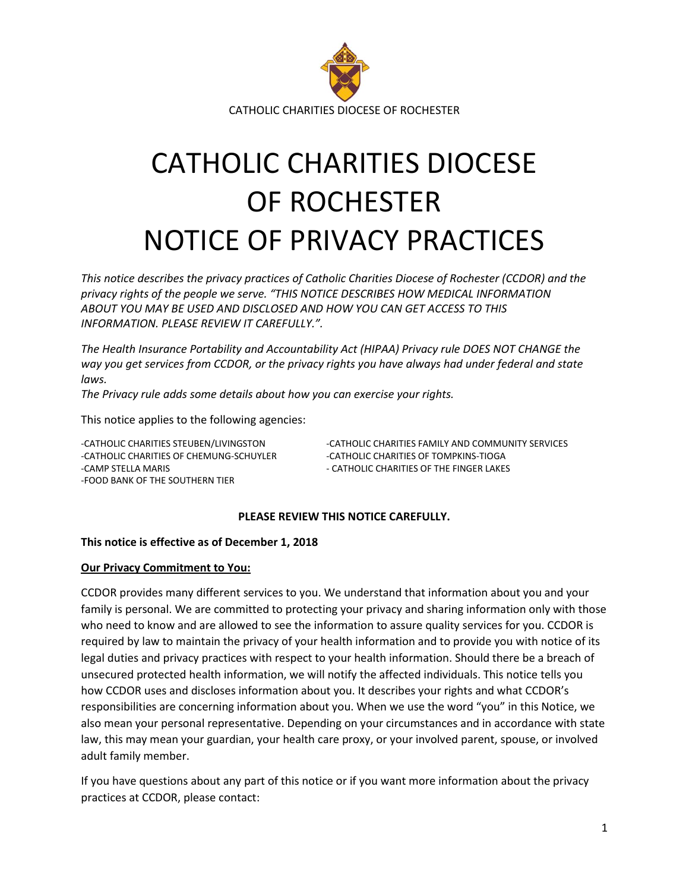

# CATHOLIC CHARITIES DIOCESE OF ROCHESTER NOTICE OF PRIVACY PRACTICES

*This notice describes the privacy practices of Catholic Charities Diocese of Rochester (CCDOR) and the privacy rights of the people we serve. "THIS NOTICE DESCRIBES HOW MEDICAL INFORMATION ABOUT YOU MAY BE USED AND DISCLOSED AND HOW YOU CAN GET ACCESS TO THIS INFORMATION. PLEASE REVIEW IT CAREFULLY.".*

*The Health Insurance Portability and Accountability Act (HIPAA) Privacy rule DOES NOT CHANGE the way you get services from CCDOR, or the privacy rights you have always had under federal and state laws.*

*The Privacy rule adds some details about how you can exercise your rights.*

This notice applies to the following agencies:

-CATHOLIC CHARITIES OF CHEMUNG-SCHUYLER - CATHOLIC CHARITIES OF TOMPKINS-TIOGA -CAMP STELLA MARIS **A CALCULA CONSUMED ASSESSED ASSOCIATE** OF THE FINGER LAKES -FOOD BANK OF THE SOUTHERN TIER

-CATHOLIC CHARITIES STEUBEN/LIVINGSTON -CATHOLIC CHARITIES FAMILY AND COMMUNITY SERVICES

#### **PLEASE REVIEW THIS NOTICE CAREFULLY.**

#### **This notice is effective as of December 1, 2018**

#### **Our Privacy Commitment to You:**

CCDOR provides many different services to you. We understand that information about you and your family is personal. We are committed to protecting your privacy and sharing information only with those who need to know and are allowed to see the information to assure quality services for you. CCDOR is required by law to maintain the privacy of your health information and to provide you with notice of its legal duties and privacy practices with respect to your health information. Should there be a breach of unsecured protected health information, we will notify the affected individuals. This notice tells you how CCDOR uses and discloses information about you. It describes your rights and what CCDOR's responsibilities are concerning information about you. When we use the word "you" in this Notice, we also mean your personal representative. Depending on your circumstances and in accordance with state law, this may mean your guardian, your health care proxy, or your involved parent, spouse, or involved adult family member.

If you have questions about any part of this notice or if you want more information about the privacy practices at CCDOR, please contact: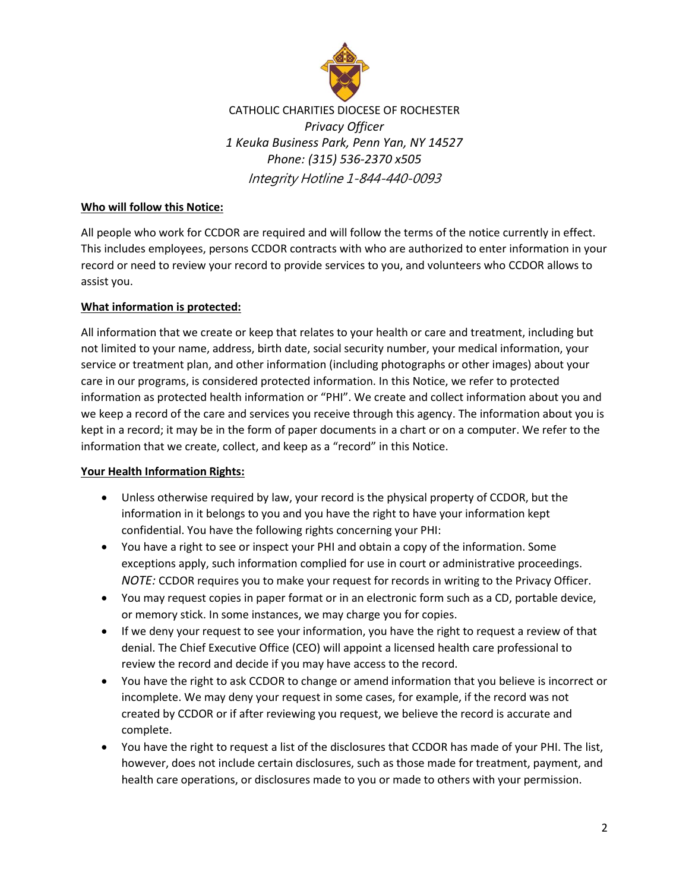

CATHOLIC CHARITIES DIOCESE OF ROCHESTER *Privacy Officer 1 Keuka Business Park, Penn Yan, NY 14527 Phone: (315) 536-2370 x505* Integrity Hotline 1-844-440-0093

# **Who will follow this Notice:**

All people who work for CCDOR are required and will follow the terms of the notice currently in effect. This includes employees, persons CCDOR contracts with who are authorized to enter information in your record or need to review your record to provide services to you, and volunteers who CCDOR allows to assist you.

# **What information is protected:**

All information that we create or keep that relates to your health or care and treatment, including but not limited to your name, address, birth date, social security number, your medical information, your service or treatment plan, and other information (including photographs or other images) about your care in our programs, is considered protected information. In this Notice, we refer to protected information as protected health information or "PHI". We create and collect information about you and we keep a record of the care and services you receive through this agency. The information about you is kept in a record; it may be in the form of paper documents in a chart or on a computer. We refer to the information that we create, collect, and keep as a "record" in this Notice.

# **Your Health Information Rights:**

- Unless otherwise required by law, your record is the physical property of CCDOR, but the information in it belongs to you and you have the right to have your information kept confidential. You have the following rights concerning your PHI:
- You have a right to see or inspect your PHI and obtain a copy of the information. Some exceptions apply, such information complied for use in court or administrative proceedings. *NOTE:* CCDOR requires you to make your request for records in writing to the Privacy Officer.
- You may request copies in paper format or in an electronic form such as a CD, portable device, or memory stick. In some instances, we may charge you for copies.
- If we deny your request to see your information, you have the right to request a review of that denial. The Chief Executive Office (CEO) will appoint a licensed health care professional to review the record and decide if you may have access to the record.
- You have the right to ask CCDOR to change or amend information that you believe is incorrect or incomplete. We may deny your request in some cases, for example, if the record was not created by CCDOR or if after reviewing you request, we believe the record is accurate and complete.
- You have the right to request a list of the disclosures that CCDOR has made of your PHI. The list, however, does not include certain disclosures, such as those made for treatment, payment, and health care operations, or disclosures made to you or made to others with your permission.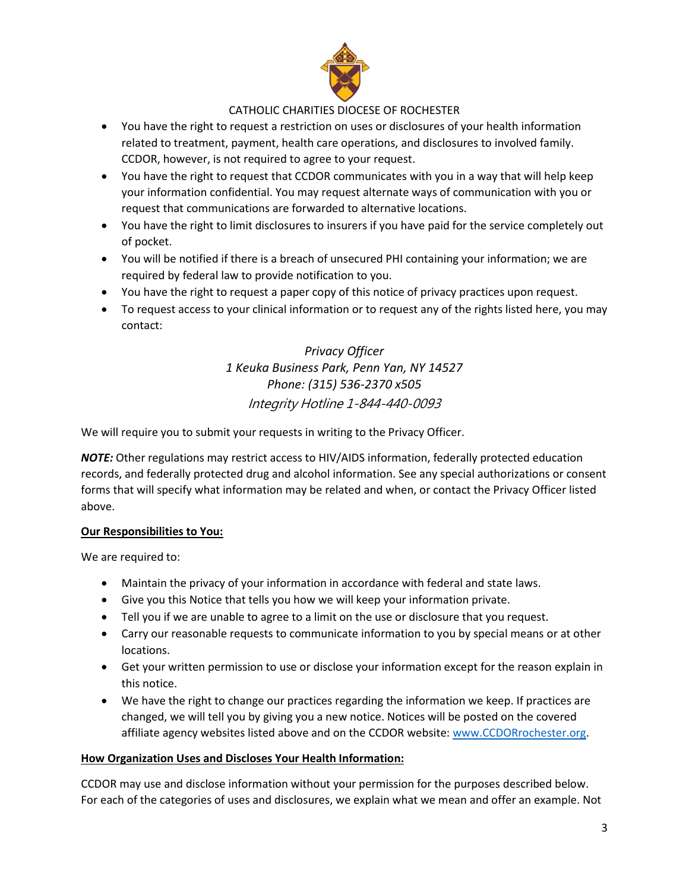

- You have the right to request a restriction on uses or disclosures of your health information related to treatment, payment, health care operations, and disclosures to involved family. CCDOR, however, is not required to agree to your request.
- You have the right to request that CCDOR communicates with you in a way that will help keep your information confidential. You may request alternate ways of communication with you or request that communications are forwarded to alternative locations.
- You have the right to limit disclosures to insurers if you have paid for the service completely out of pocket.
- You will be notified if there is a breach of unsecured PHI containing your information; we are required by federal law to provide notification to you.
- You have the right to request a paper copy of this notice of privacy practices upon request.
- To request access to your clinical information or to request any of the rights listed here, you may contact:

*Privacy Officer 1 Keuka Business Park, Penn Yan, NY 14527 Phone: (315) 536-2370 x505* Integrity Hotline 1-844-440-0093

We will require you to submit your requests in writing to the Privacy Officer.

*NOTE:* Other regulations may restrict access to HIV/AIDS information, federally protected education records, and federally protected drug and alcohol information. See any special authorizations or consent forms that will specify what information may be related and when, or contact the Privacy Officer listed above.

# **Our Responsibilities to You:**

We are required to:

- Maintain the privacy of your information in accordance with federal and state laws.
- Give you this Notice that tells you how we will keep your information private.
- Tell you if we are unable to agree to a limit on the use or disclosure that you request.
- Carry our reasonable requests to communicate information to you by special means or at other locations.
- Get your written permission to use or disclose your information except for the reason explain in this notice.
- We have the right to change our practices regarding the information we keep. If practices are changed, we will tell you by giving you a new notice. Notices will be posted on the covered affiliate agency websites listed above and on the CCDOR website: [www.CCDORrochester.org.](http://www.ccdorrochester.org/)

# **How Organization Uses and Discloses Your Health Information:**

CCDOR may use and disclose information without your permission for the purposes described below. For each of the categories of uses and disclosures, we explain what we mean and offer an example. Not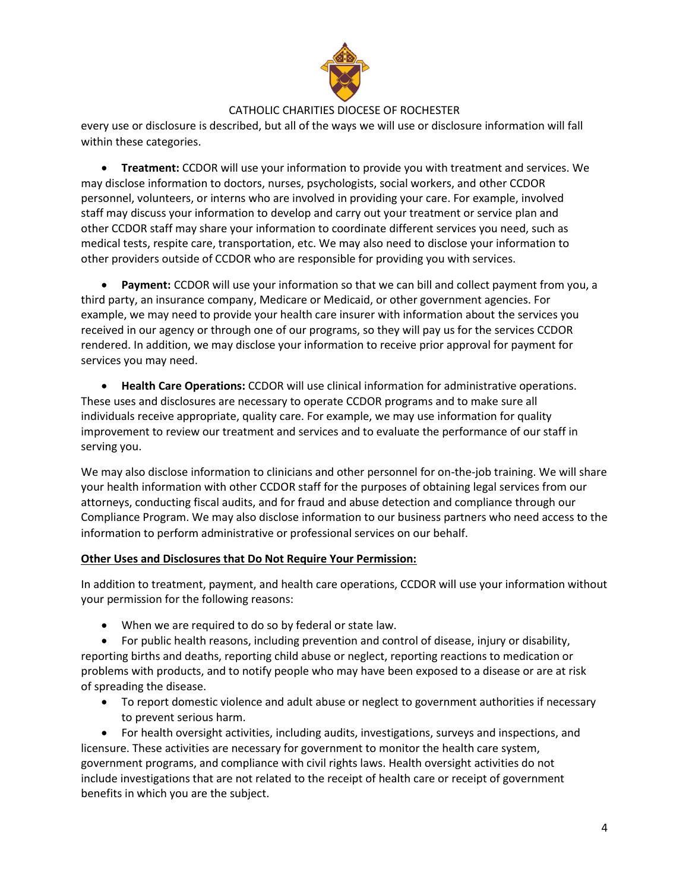

every use or disclosure is described, but all of the ways we will use or disclosure information will fall within these categories.

• **Treatment:** CCDOR will use your information to provide you with treatment and services. We may disclose information to doctors, nurses, psychologists, social workers, and other CCDOR personnel, volunteers, or interns who are involved in providing your care. For example, involved staff may discuss your information to develop and carry out your treatment or service plan and other CCDOR staff may share your information to coordinate different services you need, such as medical tests, respite care, transportation, etc. We may also need to disclose your information to other providers outside of CCDOR who are responsible for providing you with services.

• **Payment:** CCDOR will use your information so that we can bill and collect payment from you, a third party, an insurance company, Medicare or Medicaid, or other government agencies. For example, we may need to provide your health care insurer with information about the services you received in our agency or through one of our programs, so they will pay us for the services CCDOR rendered. In addition, we may disclose your information to receive prior approval for payment for services you may need.

• **Health Care Operations:** CCDOR will use clinical information for administrative operations. These uses and disclosures are necessary to operate CCDOR programs and to make sure all individuals receive appropriate, quality care. For example, we may use information for quality improvement to review our treatment and services and to evaluate the performance of our staff in serving you.

We may also disclose information to clinicians and other personnel for on-the-job training. We will share your health information with other CCDOR staff for the purposes of obtaining legal services from our attorneys, conducting fiscal audits, and for fraud and abuse detection and compliance through our Compliance Program. We may also disclose information to our business partners who need access to the information to perform administrative or professional services on our behalf.

#### **Other Uses and Disclosures that Do Not Require Your Permission:**

In addition to treatment, payment, and health care operations, CCDOR will use your information without your permission for the following reasons:

• When we are required to do so by federal or state law.

• For public health reasons, including prevention and control of disease, injury or disability, reporting births and deaths, reporting child abuse or neglect, reporting reactions to medication or problems with products, and to notify people who may have been exposed to a disease or are at risk of spreading the disease.

• To report domestic violence and adult abuse or neglect to government authorities if necessary to prevent serious harm.

• For health oversight activities, including audits, investigations, surveys and inspections, and licensure. These activities are necessary for government to monitor the health care system, government programs, and compliance with civil rights laws. Health oversight activities do not include investigations that are not related to the receipt of health care or receipt of government benefits in which you are the subject.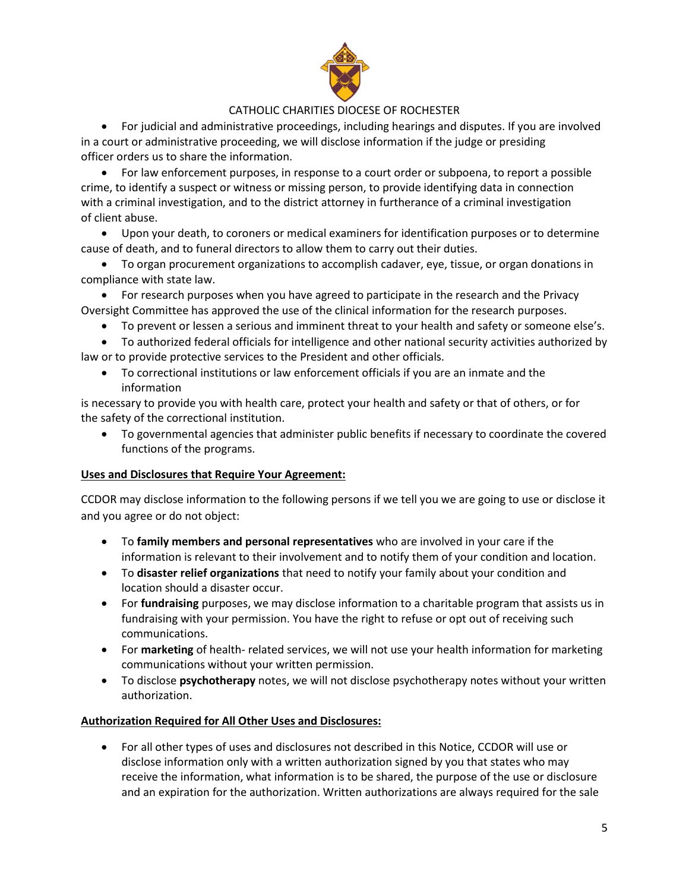

• For judicial and administrative proceedings, including hearings and disputes. If you are involved in a court or administrative proceeding, we will disclose information if the judge or presiding officer orders us to share the information.

• For law enforcement purposes, in response to a court order or subpoena, to report a possible crime, to identify a suspect or witness or missing person, to provide identifying data in connection with a criminal investigation, and to the district attorney in furtherance of a criminal investigation of client abuse.

• Upon your death, to coroners or medical examiners for identification purposes or to determine cause of death, and to funeral directors to allow them to carry out their duties.

• To organ procurement organizations to accomplish cadaver, eye, tissue, or organ donations in compliance with state law.

• For research purposes when you have agreed to participate in the research and the Privacy Oversight Committee has approved the use of the clinical information for the research purposes.

- To prevent or lessen a serious and imminent threat to your health and safety or someone else's.
- To authorized federal officials for intelligence and other national security activities authorized by law or to provide protective services to the President and other officials.
	- To correctional institutions or law enforcement officials if you are an inmate and the information

is necessary to provide you with health care, protect your health and safety or that of others, or for the safety of the correctional institution.

• To governmental agencies that administer public benefits if necessary to coordinate the covered functions of the programs.

# **Uses and Disclosures that Require Your Agreement:**

CCDOR may disclose information to the following persons if we tell you we are going to use or disclose it and you agree or do not object:

- To **family members and personal representatives** who are involved in your care if the information is relevant to their involvement and to notify them of your condition and location.
- To **disaster relief organizations** that need to notify your family about your condition and location should a disaster occur.
- For **fundraising** purposes, we may disclose information to a charitable program that assists us in fundraising with your permission. You have the right to refuse or opt out of receiving such communications.
- For **marketing** of health- related services, we will not use your health information for marketing communications without your written permission.
- To disclose **psychotherapy** notes, we will not disclose psychotherapy notes without your written authorization.

# **Authorization Required for All Other Uses and Disclosures:**

• For all other types of uses and disclosures not described in this Notice, CCDOR will use or disclose information only with a written authorization signed by you that states who may receive the information, what information is to be shared, the purpose of the use or disclosure and an expiration for the authorization. Written authorizations are always required for the sale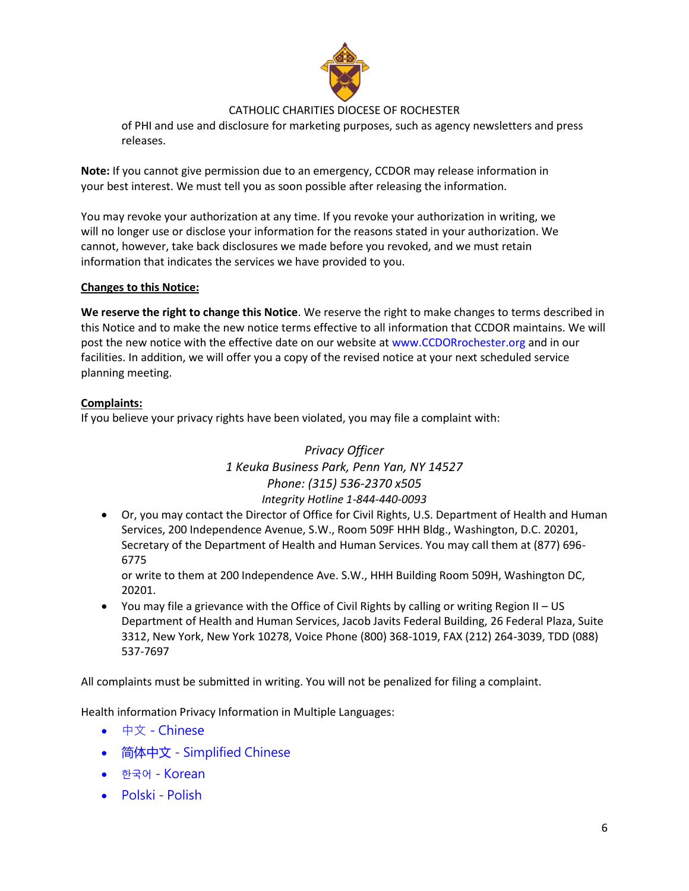

of PHI and use and disclosure for marketing purposes, such as agency newsletters and press releases.

**Note:** If you cannot give permission due to an emergency, CCDOR may release information in your best interest. We must tell you as soon possible after releasing the information.

You may revoke your authorization at any time. If you revoke your authorization in writing, we will no longer use or disclose your information for the reasons stated in your authorization. We cannot, however, take back disclosures we made before you revoked, and we must retain information that indicates the services we have provided to you.

#### **Changes to this Notice:**

**We reserve the right to change this Notice**. We reserve the right to make changes to terms described in this Notice and to make the new notice terms effective to all information that CCDOR maintains. We will post the new notice with the effective date on our website at www.CCDORrochester.org and in our facilities. In addition, we will offer you a copy of the revised notice at your next scheduled service planning meeting.

#### **Complaints:**

If you believe your privacy rights have been violated, you may file a complaint with:

# *Privacy Officer 1 Keuka Business Park, Penn Yan, NY 14527 Phone: (315) 536-2370 x505 Integrity Hotline 1-844-440-0093*

• Or, you may contact the Director of Office for Civil Rights, U.S. Department of Health and Human Services, 200 Independence Avenue, S.W., Room 509F HHH Bldg., Washington, D.C. 20201, Secretary of the Department of Health and Human Services. You may call them at (877) 696- 6775

or write to them at 200 Independence Ave. S.W., HHH Building Room 509H, Washington DC, 20201.

• You may file a grievance with the Office of Civil Rights by calling or writing Region II – US Department of Health and Human Services, Jacob Javits Federal Building, 26 Federal Plaza, Suite 3312, New York, New York 10278, Voice Phone (800) 368-1019, FAX (212) 264-3039, TDD (088) 537-7697

All complaints must be submitted in writing. You will not be penalized for filing a complaint.

Health information Privacy Information in Multiple Languages:

- 中文 Chinese
- 简体中文 Simplified Chinese
- 한국어 Korean
- Polski Polish